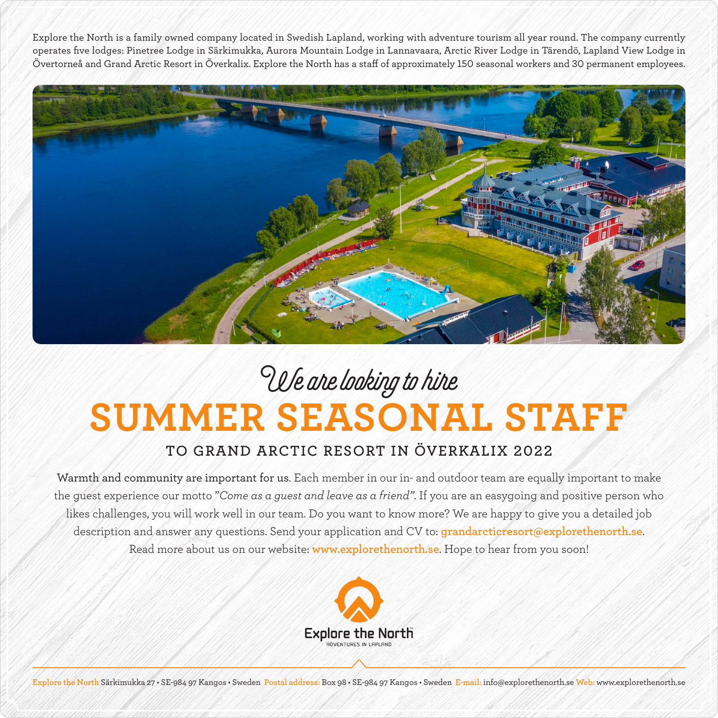Explore the North is a family owned company located in Swedish Lapland, working with adventure tourism all year round. The company currently operates five lodges: Pinetree Lodge in Särkimukka, Aurora Mountain Lodge in Lannavaara, Arctic River Lodge in Tärendö, Lapland View Lodge in Övertorneå and Grand Arctic Resort in Överkalix. Explore the North has a staff of approximately 150 seasonal workers and 30 permanent employees.



## **SUMMER SEASONAL STAFF** We are looking to hire

## **TO GRAND ARCTIC RESORT IN ÖVERKALIX 2022**

Warmth and community are important for us. Each member in our in- and outdoor team are equally important to make the guest experience our motto "*Come as a guest and leave as a friend"*. If you are an easygoing and positive person who likes challenges, you will work well in our team. Do you want to know more? We are happy to give you a detailed job description and answer any questions. Send your application and CV to: **grandarcticresort@explorethenorth.se**. Read more about us on our website: **www.explorethenorth.se**. Hope to hear from you soon!